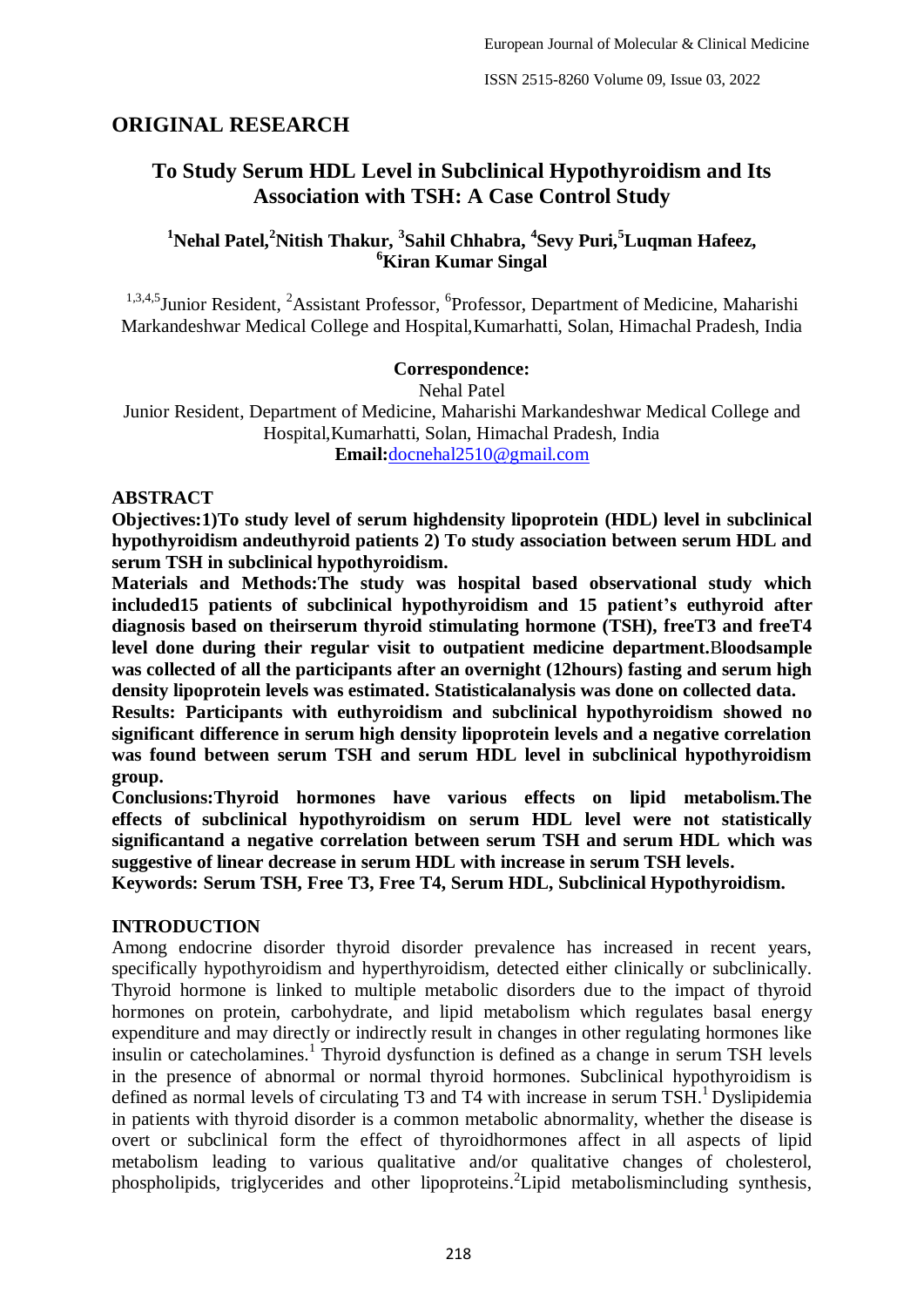## **ORIGINAL RESEARCH**

# **To Study Serum HDL Level in Subclinical Hypothyroidism and Its Association with TSH: A Case Control Study**

## **<sup>1</sup>Nehal Patel,<sup>2</sup>Nitish Thakur, <sup>3</sup> Sahil Chhabra, <sup>4</sup> Sevy Puri,<sup>5</sup>Luqman Hafeez, <sup>6</sup>Kiran Kumar Singal**

<sup>1,3,4,5</sup> Junior Resident, <sup>2</sup>Assistant Professor, <sup>6</sup>Professor, Department of Medicine, Maharishi Markandeshwar Medical College and Hospital,Kumarhatti, Solan, Himachal Pradesh, India

#### **Correspondence:**

Nehal Patel

Junior Resident, Department of Medicine, Maharishi Markandeshwar Medical College and Hospital,Kumarhatti, Solan, Himachal Pradesh, India **Email:**[docnehal2510@gmail.com](about:blank)

#### **ABSTRACT**

**Objectives:1)To study level of serum highdensity lipoprotein (HDL) level in subclinical hypothyroidism andeuthyroid patients 2) To study association between serum HDL and serum TSH in subclinical hypothyroidism.**

**Materials and Methods:The study was hospital based observational study which included15 patients of subclinical hypothyroidism and 15 patient's euthyroid after diagnosis based on theirserum thyroid stimulating hormone (TSH), freeT3 and freeT4 level done during their regular visit to outpatient medicine department.**B**loodsample was collected of all the participants after an overnight (12hours) fasting and serum high density lipoprotein levels was estimated. Statisticalanalysis was done on collected data.** 

**Results: Participants with euthyroidism and subclinical hypothyroidism showed no significant difference in serum high density lipoprotein levels and a negative correlation was found between serum TSH and serum HDL level in subclinical hypothyroidism group.**

**Conclusions:Thyroid hormones have various effects on lipid metabolism.The effects of subclinical hypothyroidism on serum HDL level were not statistically significantand a negative correlation between serum TSH and serum HDL which was suggestive of linear decrease in serum HDL with increase in serum TSH levels.**

**Keywords: Serum TSH, Free T3, Free T4, Serum HDL, Subclinical Hypothyroidism.**

#### **INTRODUCTION**

Among endocrine disorder thyroid disorder prevalence has increased in recent years, specifically hypothyroidism and hyperthyroidism, detected either clinically or subclinically. Thyroid hormone is linked to multiple metabolic disorders due to the impact of thyroid hormones on protein, carbohydrate, and lipid metabolism which regulates basal energy expenditure and may directly or indirectly result in changes in other regulating hormones like insulin or catecholamines. 1 Thyroid dysfunction is defined as a change in serum TSH levels in the presence of abnormal or normal thyroid hormones. Subclinical hypothyroidism is defined as normal levels of circulating T3 and T4 with increase in serum TSH.<sup>1</sup> Dyslipidemia in patients with thyroid disorder is a common metabolic abnormality, whether the disease is overt or subclinical form the effect of thyroidhormones affect in all aspects of lipid metabolism leading to various qualitative and/or qualitative changes of cholesterol, phospholipids, triglycerides and other lipoproteins. 2 Lipid metabolismincluding synthesis,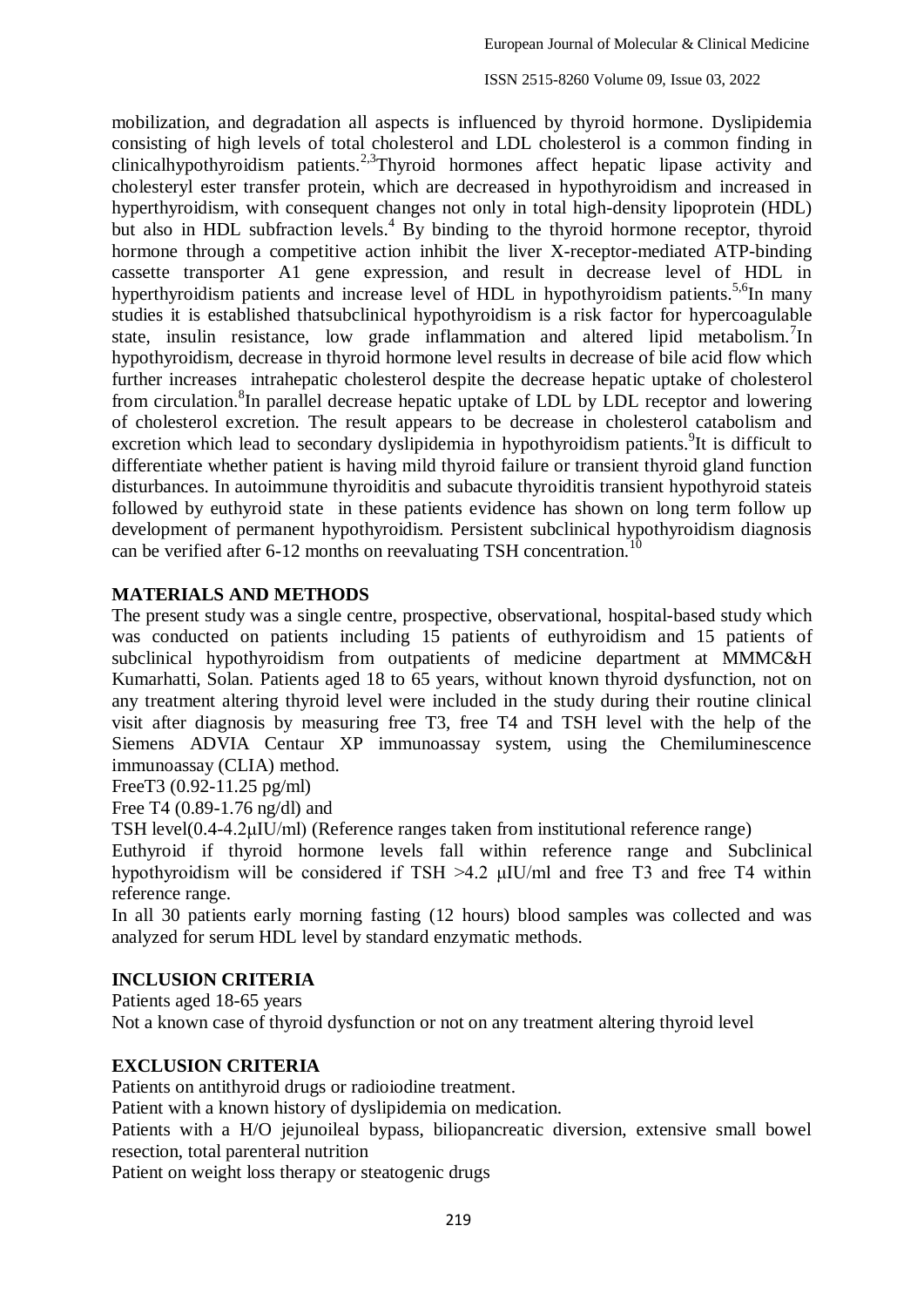ISSN 2515-8260 Volume 09, Issue 03, 2022

mobilization, and degradation all aspects is influenced by thyroid hormone. Dyslipidemia consisting of high levels of total cholesterol and LDL cholesterol is a common finding in clinicalhypothyroidism patients.<sup>2,3</sup>Thyroid hormones affect hepatic lipase activity and cholesteryl ester transfer protein, which are decreased in hypothyroidism and increased in hyperthyroidism, with consequent changes not only in total high-density lipoprotein (HDL) but also in HDL subfraction levels.<sup>4</sup> By binding to the thyroid hormone receptor, thyroid hormone through a competitive action inhibit the liver X-receptor-mediated ATP-binding cassette transporter A1 gene expression, and result in decrease level of HDL in hyperthyroidism patients and increase level of HDL in hypothyroidism patients.<sup>5,6</sup>In many studies it is established thatsubclinical hypothyroidism is a risk factor for hypercoagulable state, insulin resistance, low grade inflammation and altered lipid metabolism.<sup>7</sup>In hypothyroidism, decrease in thyroid hormone level results in decrease of bile acid flow which further increases intrahepatic cholesterol despite the decrease hepatic uptake of cholesterol from circulation.<sup>8</sup>In parallel decrease hepatic uptake of LDL by LDL receptor and lowering of cholesterol excretion. The result appears to be decrease in cholesterol catabolism and excretion which lead to secondary dyslipidemia in hypothyroidism patients.<sup>9</sup>It is difficult to differentiate whether patient is having mild thyroid failure or transient thyroid gland function disturbances. In autoimmune thyroiditis and subacute thyroiditis transient hypothyroid stateis followed by euthyroid state in these patients evidence has shown on long term follow up development of permanent hypothyroidism. Persistent subclinical hypothyroidism diagnosis can be verified after 6-12 months on reevaluating TSH concentration.<sup>1</sup>

## **MATERIALS AND METHODS**

The present study was a single centre, prospective, observational, hospital-based study which was conducted on patients including 15 patients of euthyroidism and 15 patients of subclinical hypothyroidism from outpatients of medicine department at MMMC&H Kumarhatti, Solan. Patients aged 18 to 65 years, without known thyroid dysfunction, not on any treatment altering thyroid level were included in the study during their routine clinical visit after diagnosis by measuring free T3, free T4 and TSH level with the help of the Siemens ADVIA Centaur XP immunoassay system, using the Chemiluminescence immunoassay (CLIA) method.

FreeT3 (0.92-11.25 pg/ml)

Free T4 (0.89-1.76 ng/dl) and

TSH level(0.4-4.2μIU/ml) (Reference ranges taken from institutional reference range)

Euthyroid if thyroid hormone levels fall within reference range and Subclinical hypothyroidism will be considered if TSH >4.2 μIU/ml and free T3 and free T4 within reference range.

In all 30 patients early morning fasting (12 hours) blood samples was collected and was analyzed for serum HDL level by standard enzymatic methods.

#### **INCLUSION CRITERIA**

Patients aged 18-65 years Not a known case of thyroid dysfunction or not on any treatment altering thyroid level

#### **EXCLUSION CRITERIA**

Patients on antithyroid drugs or radioiodine treatment.

Patient with a known history of dyslipidemia on medication.

Patients with a H/O jejunoileal bypass, biliopancreatic diversion, extensive small bowel resection, total parenteral nutrition

Patient on weight loss therapy or steatogenic drugs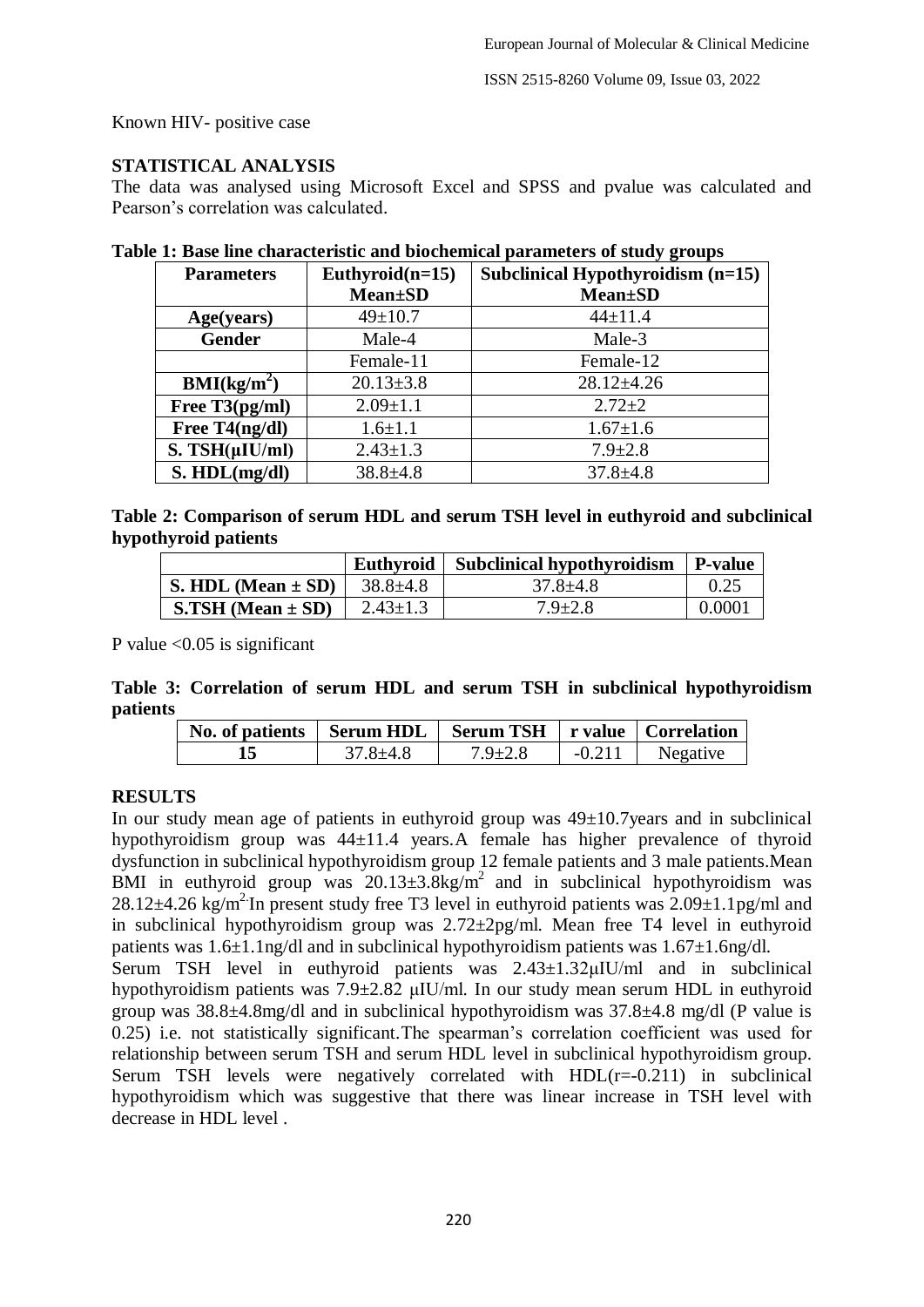ISSN 2515-8260 Volume 09, Issue 03, 2022

Known HIV- positive case

### **STATISTICAL ANALYSIS**

The data was analysed using Microsoft Excel and SPSS and pvalue was calculated and Pearson's correlation was calculated.

| <b>Parameters</b>           | Euthyroid $(n=15)$<br><b>Mean</b> ±SD | Subclinical Hypothyroidism (n=15)<br><b>Mean</b> ±SD |  |  |
|-----------------------------|---------------------------------------|------------------------------------------------------|--|--|
| Age(years)                  | $49 \pm 10.7$                         | $44 \pm 11.4$                                        |  |  |
| <b>Gender</b>               | Male-4                                | Male-3                                               |  |  |
|                             | Female-11                             | Female-12                                            |  |  |
| $\text{BMI}(\text{kg/m}^2)$ | $20.13 \pm 3.8$                       | $28.12 \pm 4.26$                                     |  |  |
| Free $T3(pg/ml)$            | $2.09 \pm 1.1$                        | $2.72 \pm 2$                                         |  |  |
| Free T4(ng/dl)              | $1.6 \pm 1.1$                         | $1.67 \pm 1.6$                                       |  |  |
| $S. TSH(\mu IU/ml)$         | $2.43 \pm 1.3$                        | $7.9 \pm 2.8$                                        |  |  |
| S. HDL(mg/dl)               | $38.8 + 4.8$                          | $37.8 \pm 4.8$                                       |  |  |

#### **Table 1: Base line characteristic and biochemical parameters of study groups**

| Table 2: Comparison of serum HDL and serum TSH level in euthyroid and subclinical |  |  |  |  |
|-----------------------------------------------------------------------------------|--|--|--|--|
| hypothyroid patients                                                              |  |  |  |  |

|                        | Euthyroid      | Subclinical hypothyroidism | P-value |
|------------------------|----------------|----------------------------|---------|
| S. HDL (Mean $\pm$ SD) | $38.8 \pm 4.8$ | $37.8 + 4.8$               | 0.25    |
| $S.TSH (Mean \pm SD)$  | $2.43 \pm 1.3$ | $7.9 \pm 2.8$              | 0.0001  |

P value  $\leq 0.05$  is significant

#### **Table 3: Correlation of serum HDL and serum TSH in subclinical hypothyroidism patients**

| No. of patients   Serum HDL   Serum TSH   r value   Correlation |              |               |          |          |
|-----------------------------------------------------------------|--------------|---------------|----------|----------|
|                                                                 | $37.8 + 4.8$ | $7.9 \pm 2.8$ | $-0.211$ | Negative |

## **RESULTS**

In our study mean age of patients in euthyroid group was 49±10.7years and in subclinical hypothyroidism group was 44±11.4 years.A female has higher prevalence of thyroid dysfunction in subclinical hypothyroidism group 12 female patients and 3 male patients.Mean BMI in euthyroid group was  $20.13\pm3.8$ kg/m<sup>2</sup> and in subclinical hypothyroidism was 28.12 $\pm$ 4.26 kg/m<sup>2</sup>. In present study free T3 level in euthyroid patients was 2.09 $\pm$ 1.1pg/ml and in subclinical hypothyroidism group was 2.72±2pg/ml. Mean free T4 level in euthyroid patients was  $1.6\pm1.1$ ng/dl and in subclinical hypothyroidism patients was  $1.67\pm1.6$ ng/dl.

Serum TSH level in euthyroid patients was 2.43±1.32μIU/ml and in subclinical hypothyroidism patients was 7.9±2.82 μIU/ml. In our study mean serum HDL in euthyroid group was 38.8±4.8mg/dl and in subclinical hypothyroidism was 37.8±4.8 mg/dl (P value is 0.25) i.e. not statistically significant.The spearman's correlation coefficient was used for relationship between serum TSH and serum HDL level in subclinical hypothyroidism group. Serum TSH levels were negatively correlated with  $HDL(r=-0.211)$  in subclinical hypothyroidism which was suggestive that there was linear increase in TSH level with decrease in HDL level .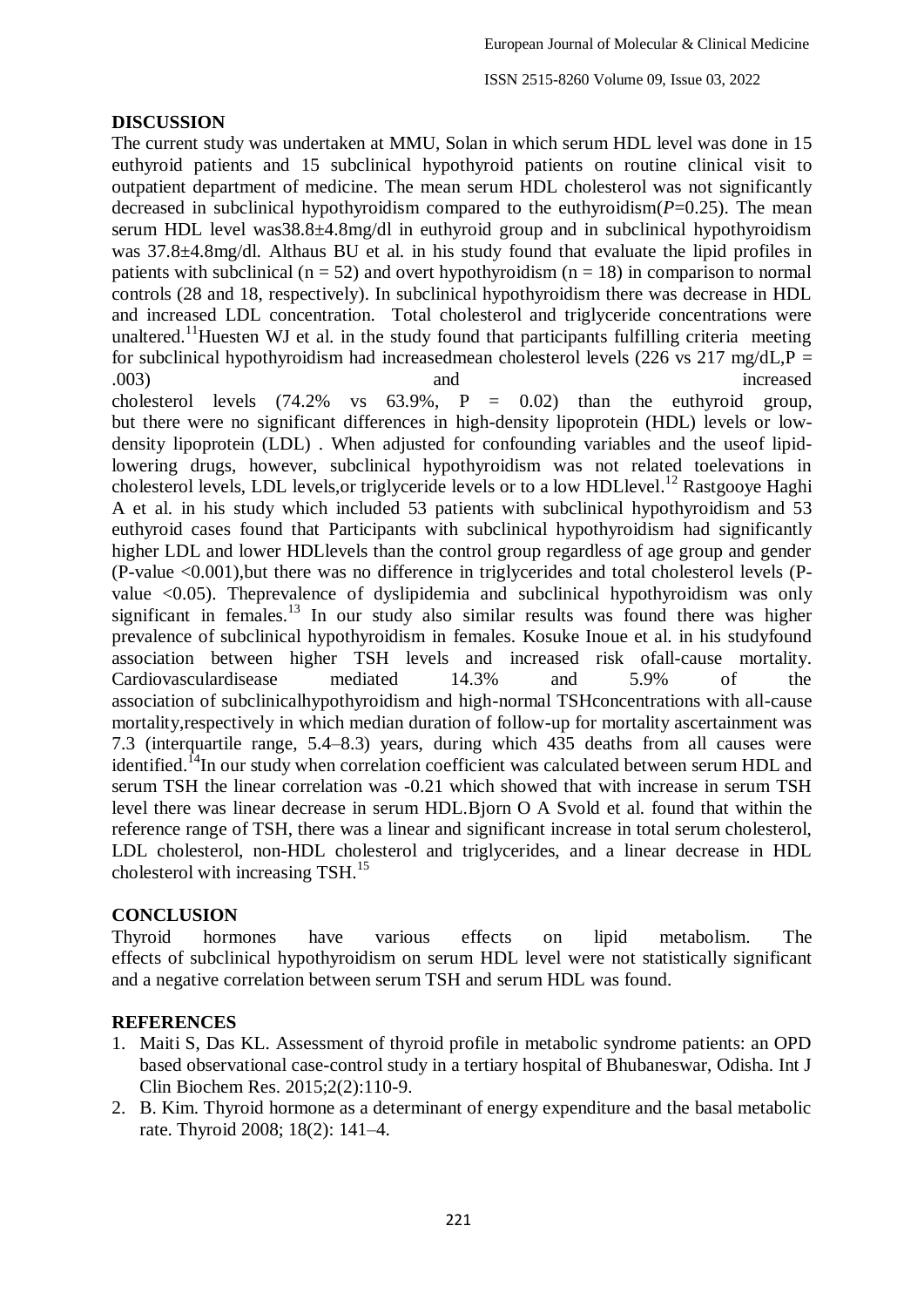#### **DISCUSSION**

The current study was undertaken at MMU, Solan in which serum HDL level was done in 15 euthyroid patients and 15 subclinical hypothyroid patients on routine clinical visit to outpatient department of medicine. The mean serum HDL cholesterol was not significantly decreased in subclinical hypothyroidism compared to the euthyroidism(*P*=0.25). The mean serum HDL level was38.8 $\pm$ 4.8mg/dl in euthyroid group and in subclinical hypothyroidism was 37.8±4.8mg/dl. Althaus BU et al. in his study found that evaluate the lipid profiles in patients with subclinical ( $n = 52$ ) and overt hypothyroidism ( $n = 18$ ) in comparison to normal controls (28 and 18, respectively). In subclinical hypothyroidism there was decrease in HDL and increased LDL concentration. Total cholesterol and triglyceride concentrations were unaltered.<sup>11</sup>Huesten WJ et al. in the study found that participants fulfilling criteria meeting for subclinical hypothyroidism had increasedmean cholesterol levels (226 vs 217 mg/dL, $P =$ .003) and increased cholesterol levels  $(74.2\% \text{ vs } 63.9\% , P = 0.02)$  than the euthyroid group,

but there were no significant differences in high-density lipoprotein (HDL) levels or lowdensity lipoprotein (LDL) . When adjusted for confounding variables and the useof lipidlowering drugs, however, subclinical hypothyroidism was not related toelevations in cholesterol levels, LDL levels, or triglyceride levels or to a low HDLlevel.<sup>12</sup> Rastgooye Haghi A et al. in his study which included 53 patients with subclinical hypothyroidism and 53 euthyroid cases found that Participants with subclinical hypothyroidism had significantly higher LDL and lower HDLlevels than the control group regardless of age group and gender (P-value <0.001),but there was no difference in triglycerides and total cholesterol levels (Pvalue <0.05). Theprevalence of dyslipidemia and subclinical hypothyroidism was only significant in females.<sup>13</sup> In our study also similar results was found there was higher prevalence of subclinical hypothyroidism in females. Kosuke Inoue et al. in his studyfound association between higher TSH levels and increased risk ofall-cause mortality. Cardiovasculardisease mediated 14.3% and 5.9% of the association of subclinicalhypothyroidism and high-normal TSHconcentrations with all-cause mortality,respectively in which median duration of follow-up for mortality ascertainment was 7.3 (interquartile range, 5.4–8.3) years, during which 435 deaths from all causes were identified.<sup>14</sup>In our study when correlation coefficient was calculated between serum HDL and serum TSH the linear correlation was -0.21 which showed that with increase in serum TSH level there was linear decrease in serum HDL.Bjorn O A Svold et al. found that within the reference range of TSH, there was a linear and significant increase in total serum cholesterol, LDL cholesterol, non-HDL cholesterol and triglycerides, and a linear decrease in HDL cholesterol with increasing TSH.<sup>15</sup>

#### **CONCLUSION**

Thyroid hormones have various effects on lipid metabolism. The effects of subclinical hypothyroidism on serum HDL level were not statistically significant and a negative correlation between serum TSH and serum HDL was found.

#### **REFERENCES**

- 1. Maiti S, Das KL. Assessment of thyroid profile in metabolic syndrome patients: an OPD based observational case-control study in a tertiary hospital of Bhubaneswar, Odisha. Int J Clin Biochem Res. 2015;2(2):110-9.
- 2. B. Kim. Thyroid hormone as a determinant of energy expenditure and the basal metabolic rate. Thyroid 2008; 18(2): 141–4.